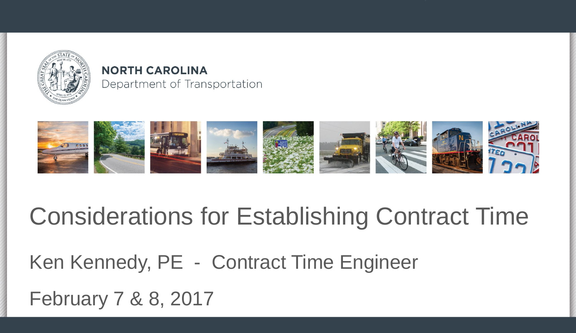

#### **NORTH CAROLINA** Department of Transportation



#### Considerations for Establishing Contract Time

Ken Kennedy, PE - Contract Time Engineer

February 7 & 8, 2017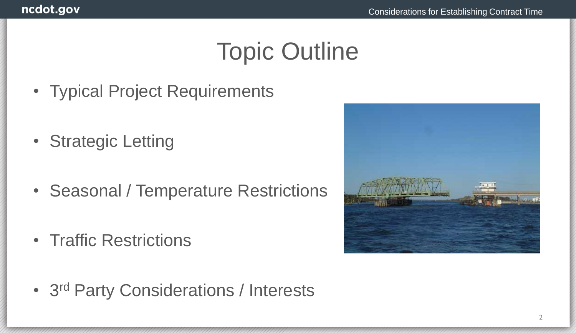#### Topic Outline

- Typical Project Requirements
- Strategic Letting
- Seasonal / Temperature Restrictions
- Traffic Restrictions



• 3<sup>rd</sup> Party Considerations / Interests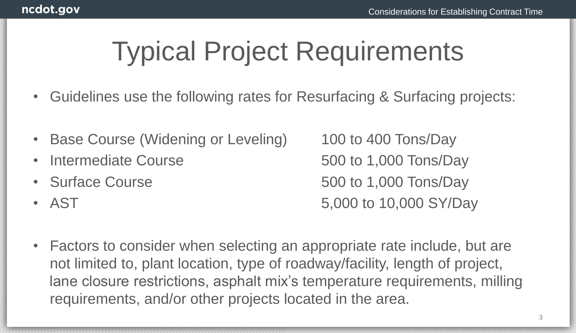# Typical Project Requirements

- Guidelines use the following rates for Resurfacing & Surfacing projects:
- Base Course (Widening or Leveling) 100 to 400 Tons/Day
- 
- 
- 

Intermediate Course 600 to 1,000 Tons/Day • Surface Course 600 to 1,000 Tons/Day • AST 5,000 to 10,000 SY/Day

• Factors to consider when selecting an appropriate rate include, but are not limited to, plant location, type of roadway/facility, length of project, lane closure restrictions, asphalt mix's temperature requirements, milling requirements, and/or other projects located in the area.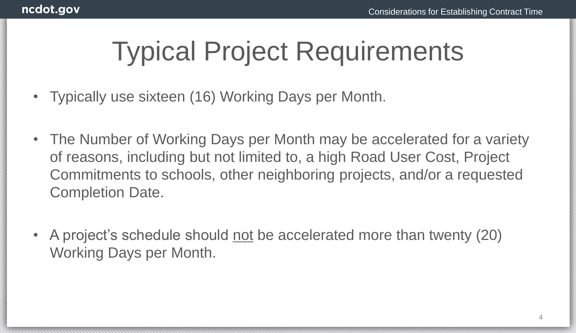# Typical Project Requirements

- Typically use sixteen (16) Working Days per Month.
- The Number of Working Days per Month may be accelerated for a variety of reasons, including but not limited to, a high Road User Cost, Project Commitments to schools, other neighboring projects, and/or a requested Completion Date.
- A project's schedule should not be accelerated more than twenty (20) Working Days per Month.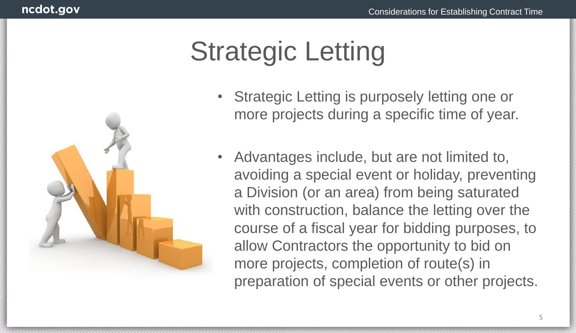

- Strategic Letting is purposely letting one or more projects during a specific time of year.
- Advantages include, but are not limited to, avoiding a special event or holiday, preventing a Division (or an area) from being saturated with construction, balance the letting over the course of a fiscal year for bidding purposes, to allow Contractors the opportunity to bid on more projects, completion of route(s) in preparation of special events or other projects.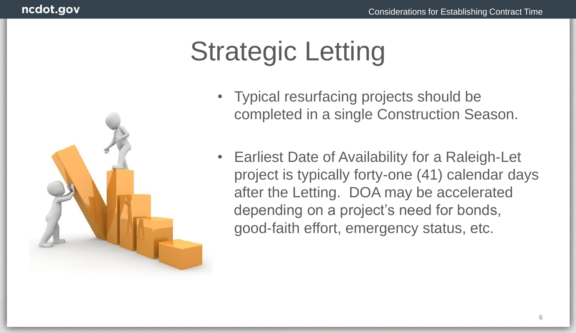

- Typical resurfacing projects should be completed in a single Construction Season.
- Earliest Date of Availability for a Raleigh-Let project is typically forty-one (41) calendar days after the Letting. DOA may be accelerated depending on a project's need for bonds, good-faith effort, emergency status, etc.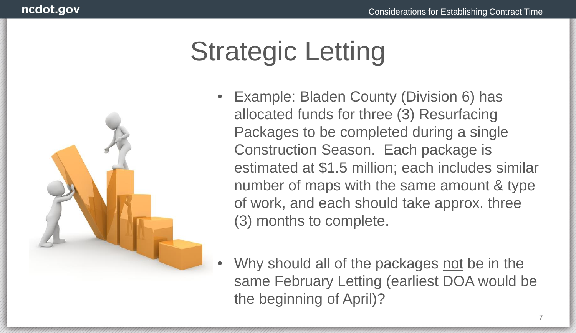

- Example: Bladen County (Division 6) has allocated funds for three (3) Resurfacing Packages to be completed during a single Construction Season. Each package is estimated at \$1.5 million; each includes similar number of maps with the same amount & type of work, and each should take approx. three (3) months to complete.
- Why should all of the packages not be in the same February Letting (earliest DOA would be the beginning of April)?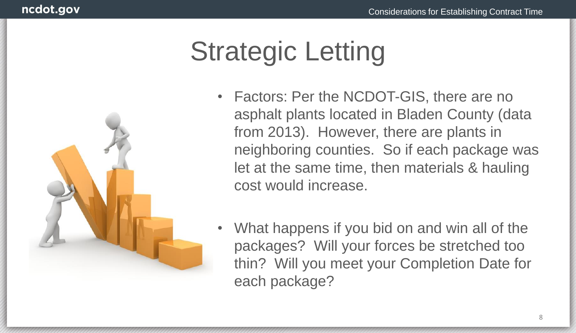

- Factors: Per the NCDOT-GIS, there are no asphalt plants located in Bladen County (data from 2013). However, there are plants in neighboring counties. So if each package was let at the same time, then materials & hauling cost would increase.
- What happens if you bid on and win all of the packages? Will your forces be stretched too thin? Will you meet your Completion Date for each package?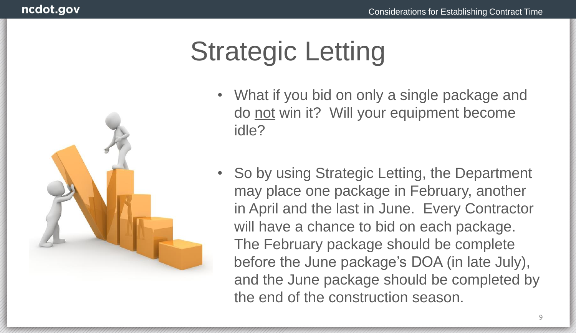

- What if you bid on only a single package and do not win it? Will your equipment become idle?
- So by using Strategic Letting, the Department may place one package in February, another in April and the last in June. Every Contractor will have a chance to bid on each package. The February package should be complete before the June package's DOA (in late July), and the June package should be completed by the end of the construction season.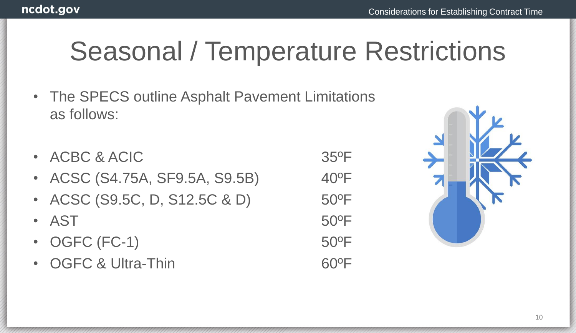- The SPECS outline Asphalt Pavement Limitations as follows:
- ACBC & ACIC 35°F
- ACSC (S4.75A, SF9.5A, S9.5B) 40°F
- ACSC (S9.5C, D, S12.5C & D) 50°F
- AST 50°F
- OGFC (FC-1) 50°F
- OGFC & Ultra-Thin 60°F

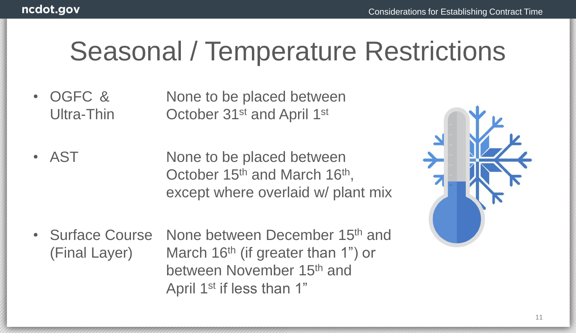- OGFC & None to be placed between Ultra-Thin **October 31st and April 1st**
- AST None to be placed between October 15<sup>th</sup> and March 16<sup>th</sup>, except where overlaid w/ plant mix
- Surface Course None between December 15<sup>th</sup> and (Final Layer) March 16<sup>th</sup> (if greater than 1") or between November 15th and April 1<sup>st</sup> if less than 1"

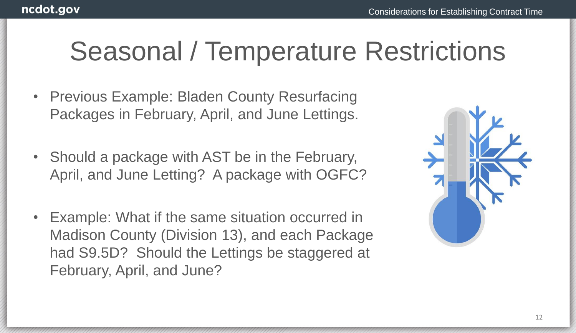- Previous Example: Bladen County Resurfacing Packages in February, April, and June Lettings.
- Should a package with AST be in the February, April, and June Letting? A package with OGFC?
- Example: What if the same situation occurred in Madison County (Division 13), and each Package had S9.5D? Should the Lettings be staggered at February, April, and June?

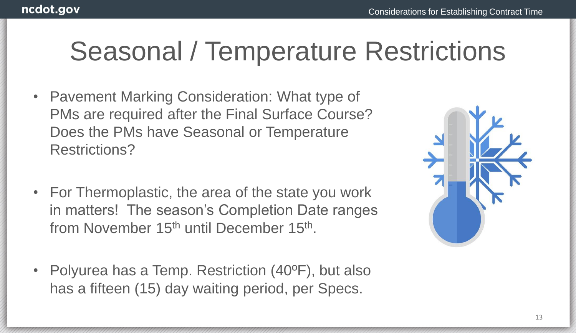- Pavement Marking Consideration: What type of PMs are required after the Final Surface Course? Does the PMs have Seasonal or Temperature Restrictions?
- For Thermoplastic, the area of the state you work in matters! The season's Completion Date ranges from November 15<sup>th</sup> until December 15<sup>th</sup>.
- Polyurea has a Temp. Restriction (40°F), but also has a fifteen (15) day waiting period, per Specs.

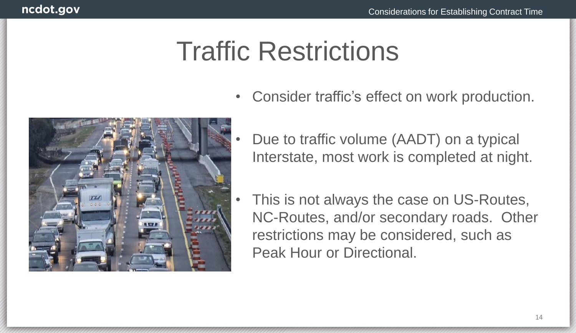

- Consider traffic's effect on work production.
	- Due to traffic volume (AADT) on a typical Interstate, most work is completed at night.
	- This is not always the case on US-Routes, NC-Routes, and/or secondary roads. Other restrictions may be considered, such as Peak Hour or Directional.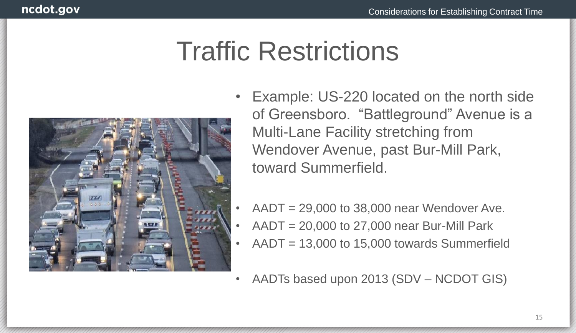

- Example: US-220 located on the north side of Greensboro. "Battleground" Avenue is a Multi-Lane Facility stretching from Wendover Avenue, past Bur-Mill Park, toward Summerfield.
- $AADT = 29,000$  to 38,000 near Wendover Ave.
- $AADT = 20,000$  to 27,000 near Bur-Mill Park
- $AADT = 13,000$  to 15,000 towards Summerfield
- AADTs based upon 2013 (SDV NCDOT GIS)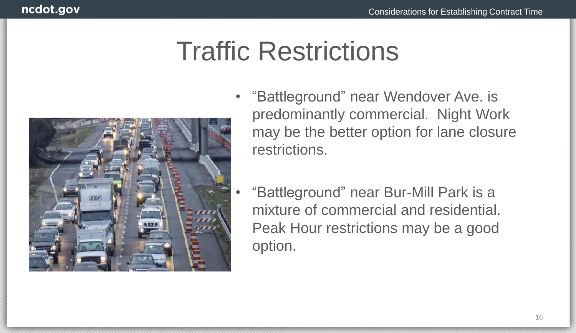

- "Battleground" near Wendover Ave. is predominantly commercial. Night Work may be the better option for lane closure restrictions.
	- "Battleground" near Bur-Mill Park is a mixture of commercial and residential. Peak Hour restrictions may be a good option.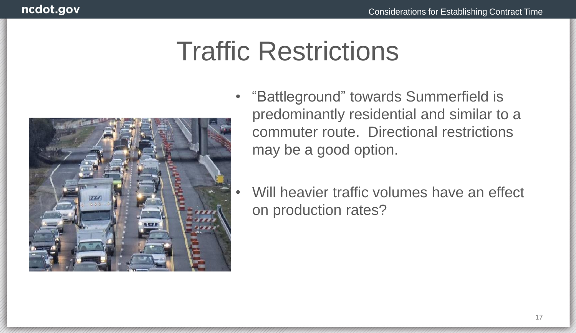

- "Battleground" towards Summerfield is predominantly residential and similar to a commuter route. Directional restrictions may be a good option.
	- Will heavier traffic volumes have an effect on production rates?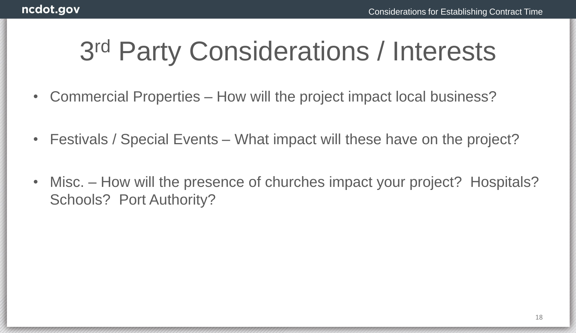## 3 rd Party Considerations / Interests

- Commercial Properties How will the project impact local business?
- Festivals / Special Events What impact will these have on the project?
- Misc. How will the presence of churches impact your project? Hospitals? Schools? Port Authority?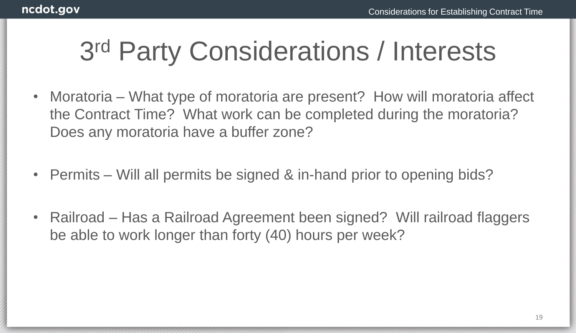## 3 rd Party Considerations / Interests

- Moratoria What type of moratoria are present? How will moratoria affect the Contract Time? What work can be completed during the moratoria? Does any moratoria have a buffer zone?
- Permits Will all permits be signed & in-hand prior to opening bids?
- Railroad Has a Railroad Agreement been signed? Will railroad flaggers be able to work longer than forty (40) hours per week?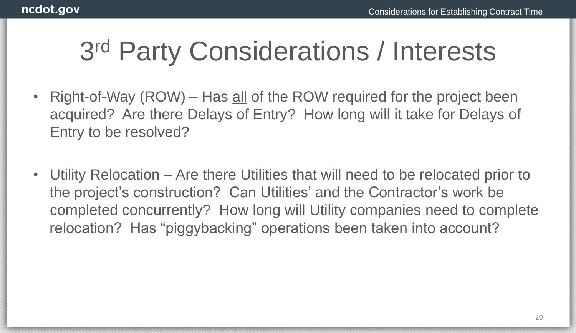## 3 rd Party Considerations / Interests

- Right-of-Way (ROW) Has all of the ROW required for the project been acquired? Are there Delays of Entry? How long will it take for Delays of Entry to be resolved?
- Utility Relocation Are there Utilities that will need to be relocated prior to the project's construction? Can Utilities' and the Contractor's work be completed concurrently? How long will Utility companies need to complete relocation? Has "piggybacking" operations been taken into account?